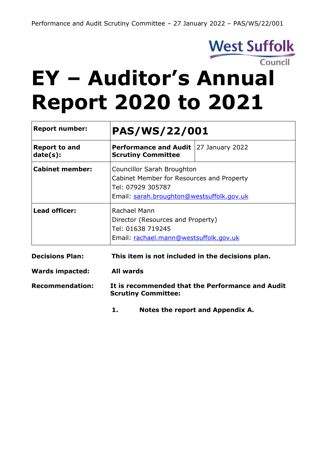

# **EY – Auditor's Annual Report 2020 to 2021**

| <b>Report number:</b>            | <b>PAS/WS/22/001</b>                                                                                                                      |                 |
|----------------------------------|-------------------------------------------------------------------------------------------------------------------------------------------|-----------------|
| <b>Report to and</b><br>date(s): | <b>Performance and Audit</b><br><b>Scrutiny Committee</b>                                                                                 | 27 January 2022 |
| <b>Cabinet member:</b>           | Councillor Sarah Broughton<br>Cabinet Member for Resources and Property<br>Tel: 07929 305787<br>Email: sarah.broughton@westsuffolk.gov.uk |                 |
| <b>Lead officer:</b>             | Rachael Mann<br>Director (Resources and Property)<br>Tel: 01638 719245<br>Email: rachael.mann@westsuffolk.gov.uk                          |                 |
| <b>Decisions Plan:</b>           | This item is not included in the decisions plan.                                                                                          |                 |

| <b>Wards impacted:</b> | All wards                                                                      |
|------------------------|--------------------------------------------------------------------------------|
| <b>Recommendation:</b> | It is recommended that the Performance and Audit<br><b>Scrutiny Committee:</b> |

**1. Notes the report and Appendix A.**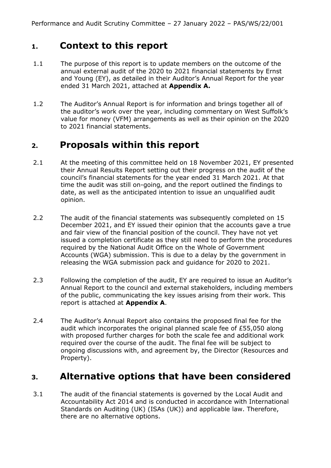## **1. Context to this report**

- 1.1 The purpose of this report is to update members on the outcome of the annual external audit of the 2020 to 2021 financial statements by Ernst and Young (EY), as detailed in their Auditor's Annual Report for the year ended 31 March 2021, attached at **Appendix A.**
- 1.2 The Auditor's Annual Report is for information and brings together all of the auditor's work over the year, including commentary on West Suffolk's value for money (VFM) arrangements as well as their opinion on the 2020 to 2021 financial statements.

# **2. Proposals within this report**

- 2.1 At the meeting of this committee held on 18 November 2021, EY presented their Annual Results Report setting out their progress on the audit of the council's financial statements for the year ended 31 March 2021. At that time the audit was still on-going, and the report outlined the findings to date, as well as the anticipated intention to issue an unqualified audit opinion.
- 2.2 The audit of the financial statements was subsequently completed on 15 December 2021, and EY issued their opinion that the accounts gave a true and fair view of the financial position of the council. They have not yet issued a completion certificate as they still need to perform the procedures required by the National Audit Office on the Whole of Government Accounts (WGA) submission. This is due to a delay by the government in releasing the WGA submission pack and guidance for 2020 to 2021.
- 2.3 Following the completion of the audit, EY are required to issue an Auditor's Annual Report to the council and external stakeholders, including members of the public, communicating the key issues arising from their work. This report is attached at **Appendix A**.
- 2.4 The Auditor's Annual Report also contains the proposed final fee for the audit which incorporates the original planned scale fee of £55,050 along with proposed further charges for both the scale fee and additional work required over the course of the audit. The final fee will be subject to ongoing discussions with, and agreement by, the Director (Resources and Property).

# **3. Alternative options that have been considered**

3.1 The audit of the financial statements is governed by the Local Audit and Accountability Act 2014 and is conducted in accordance with International Standards on Auditing (UK) (ISAs (UK)) and applicable law. Therefore, there are no alternative options.